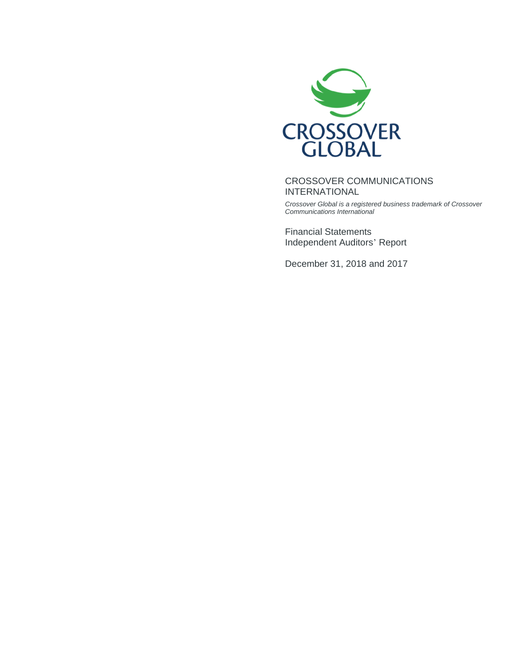

*Crossover Global is a registered business trademark of Crossover Communications International*

Financial Statements Independent Auditors' Report

December 31, 2018 and 2017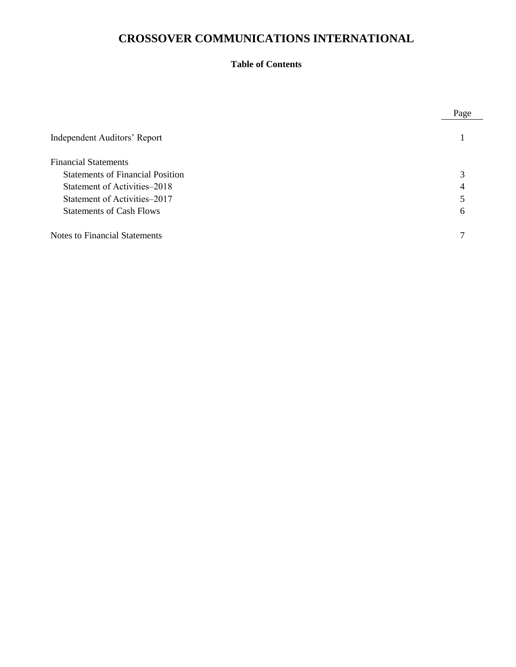# **Table of Contents**

|                                         | Page |
|-----------------------------------------|------|
| Independent Auditors' Report            |      |
| <b>Financial Statements</b>             |      |
| <b>Statements of Financial Position</b> | 3    |
| Statement of Activities–2018            | 4    |
| Statement of Activities–2017            |      |
| <b>Statements of Cash Flows</b>         | 6    |
| Notes to Financial Statements           |      |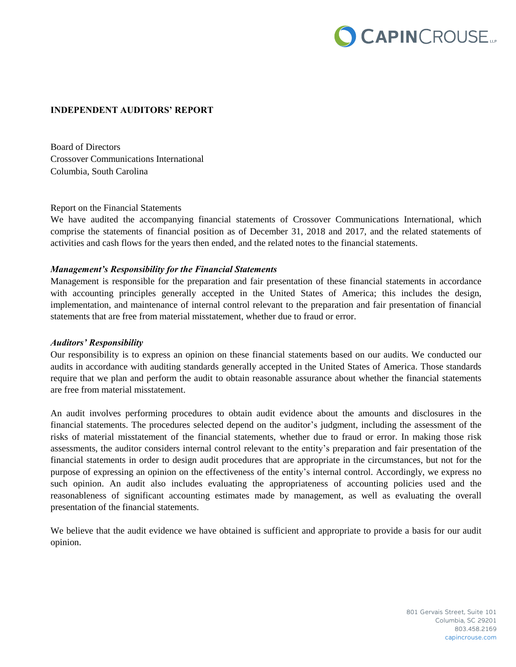

#### **INDEPENDENT AUDITORS' REPORT**

Board of Directors Crossover Communications International Columbia, South Carolina

#### Report on the Financial Statements

We have audited the accompanying financial statements of Crossover Communications International, which comprise the statements of financial position as of December 31, 2018 and 2017, and the related statements of activities and cash flows for the years then ended, and the related notes to the financial statements.

#### *Management's Responsibility for the Financial Statements*

Management is responsible for the preparation and fair presentation of these financial statements in accordance with accounting principles generally accepted in the United States of America; this includes the design, implementation, and maintenance of internal control relevant to the preparation and fair presentation of financial statements that are free from material misstatement, whether due to fraud or error.

#### *Auditors' Responsibility*

Our responsibility is to express an opinion on these financial statements based on our audits. We conducted our audits in accordance with auditing standards generally accepted in the United States of America. Those standards require that we plan and perform the audit to obtain reasonable assurance about whether the financial statements are free from material misstatement.

An audit involves performing procedures to obtain audit evidence about the amounts and disclosures in the financial statements. The procedures selected depend on the auditor's judgment, including the assessment of the risks of material misstatement of the financial statements, whether due to fraud or error. In making those risk assessments, the auditor considers internal control relevant to the entity's preparation and fair presentation of the financial statements in order to design audit procedures that are appropriate in the circumstances, but not for the purpose of expressing an opinion on the effectiveness of the entity's internal control. Accordingly, we express no such opinion. An audit also includes evaluating the appropriateness of accounting policies used and the reasonableness of significant accounting estimates made by management, as well as evaluating the overall presentation of the financial statements.

We believe that the audit evidence we have obtained is sufficient and appropriate to provide a basis for our audit opinion.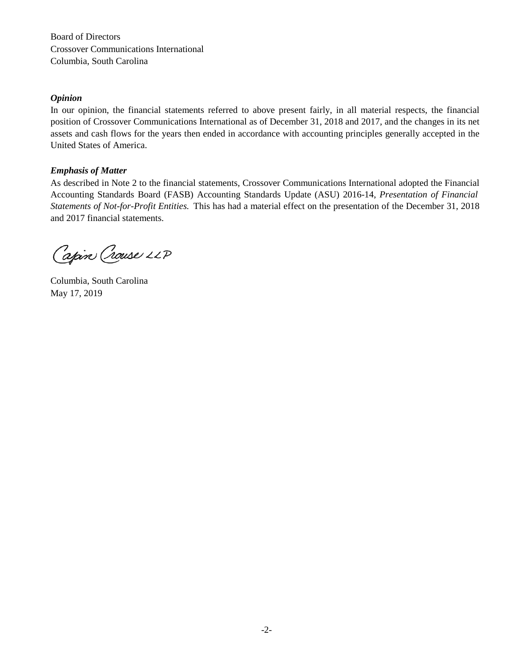Board of Directors Crossover Communications International Columbia, South Carolina

### *Opinion*

In our opinion, the financial statements referred to above present fairly, in all material respects, the financial position of Crossover Communications International as of December 31, 2018 and 2017, and the changes in its net assets and cash flows for the years then ended in accordance with accounting principles generally accepted in the United States of America.

# *Emphasis of Matter*

As described in Note 2 to the financial statements, Crossover Communications International adopted the Financial Accounting Standards Board (FASB) Accounting Standards Update (ASU) 2016-14, *Presentation of Financial Statements of Not-for-Profit Entities.* This has had a material effect on the presentation of the December 31, 2018 and 2017 financial statements.

Capin Crouse LLP

Columbia, South Carolina May 17, 2019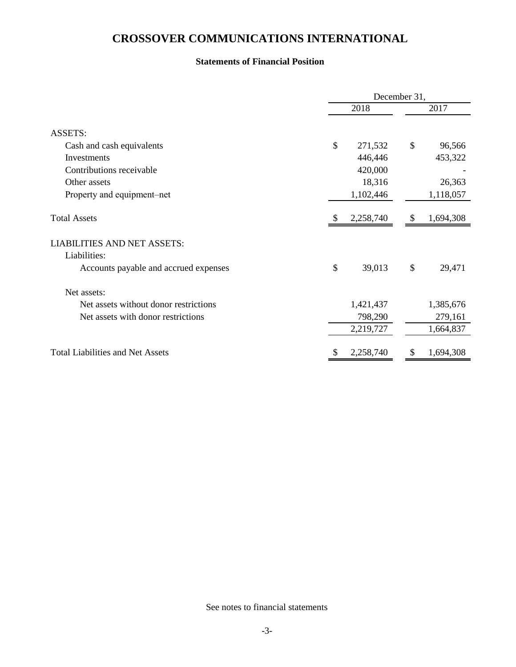# **Statements of Financial Position**

|                                         |    |           | December 31, |           |  |
|-----------------------------------------|----|-----------|--------------|-----------|--|
|                                         |    | 2018      |              | 2017      |  |
| <b>ASSETS:</b>                          |    |           |              |           |  |
| Cash and cash equivalents               | \$ | 271,532   | \$           | 96,566    |  |
| Investments                             |    | 446,446   |              | 453,322   |  |
| Contributions receivable                |    | 420,000   |              |           |  |
| Other assets                            |    | 18,316    |              | 26,363    |  |
| Property and equipment-net              |    | 1,102,446 |              | 1,118,057 |  |
| <b>Total Assets</b>                     | Ж  | 2,258,740 | \$           | 1,694,308 |  |
| <b>LIABILITIES AND NET ASSETS:</b>      |    |           |              |           |  |
| Liabilities:                            |    |           |              |           |  |
| Accounts payable and accrued expenses   | \$ | 39,013    | \$           | 29,471    |  |
| Net assets:                             |    |           |              |           |  |
| Net assets without donor restrictions   |    | 1,421,437 |              | 1,385,676 |  |
| Net assets with donor restrictions      |    | 798,290   |              | 279,161   |  |
|                                         |    | 2,219,727 |              | 1,664,837 |  |
| <b>Total Liabilities and Net Assets</b> | \$ | 2,258,740 | \$           | 1,694,308 |  |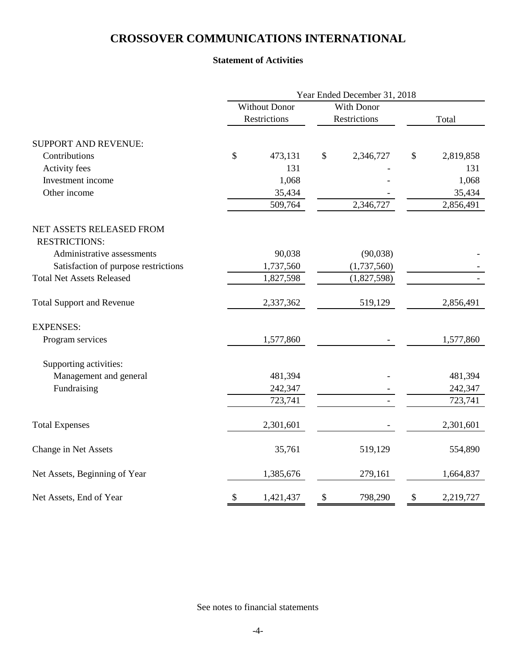# **Statement of Activities**

|                                                                                                                                                                                                                                                                                                                                                                                                                                                                  |                      |    | Year Ended December 31, 2018 |       |           |
|------------------------------------------------------------------------------------------------------------------------------------------------------------------------------------------------------------------------------------------------------------------------------------------------------------------------------------------------------------------------------------------------------------------------------------------------------------------|----------------------|----|------------------------------|-------|-----------|
|                                                                                                                                                                                                                                                                                                                                                                                                                                                                  | <b>Without Donor</b> |    | With Donor                   |       |           |
| <b>SUPPORT AND REVENUE:</b><br>Contributions<br>Activity fees<br>Investment income<br>Other income<br>NET ASSETS RELEASED FROM<br><b>RESTRICTIONS:</b><br>Administrative assessments<br>Satisfaction of purpose restrictions<br><b>Total Net Assets Released</b><br><b>Total Support and Revenue</b><br><b>EXPENSES:</b><br>Program services<br>Supporting activities:<br>Management and general<br>Fundraising<br><b>Total Expenses</b><br>Change in Net Assets | Restrictions         |    | Restrictions                 | Total |           |
|                                                                                                                                                                                                                                                                                                                                                                                                                                                                  |                      |    |                              |       |           |
|                                                                                                                                                                                                                                                                                                                                                                                                                                                                  | \$<br>473,131        | \$ | 2,346,727                    | \$    | 2,819,858 |
|                                                                                                                                                                                                                                                                                                                                                                                                                                                                  | 131                  |    |                              |       | 131       |
|                                                                                                                                                                                                                                                                                                                                                                                                                                                                  | 1,068                |    |                              |       | 1,068     |
|                                                                                                                                                                                                                                                                                                                                                                                                                                                                  | 35,434               |    |                              |       | 35,434    |
|                                                                                                                                                                                                                                                                                                                                                                                                                                                                  | 509,764              |    | 2,346,727                    |       | 2,856,491 |
|                                                                                                                                                                                                                                                                                                                                                                                                                                                                  |                      |    |                              |       |           |
|                                                                                                                                                                                                                                                                                                                                                                                                                                                                  | 90,038               |    | (90,038)                     |       |           |
|                                                                                                                                                                                                                                                                                                                                                                                                                                                                  | 1,737,560            |    | (1,737,560)                  |       |           |
|                                                                                                                                                                                                                                                                                                                                                                                                                                                                  | 1,827,598            |    | (1,827,598)                  |       |           |
|                                                                                                                                                                                                                                                                                                                                                                                                                                                                  | 2,337,362            |    | 519,129                      |       | 2,856,491 |
|                                                                                                                                                                                                                                                                                                                                                                                                                                                                  |                      |    |                              |       |           |
|                                                                                                                                                                                                                                                                                                                                                                                                                                                                  | 1,577,860            |    |                              |       | 1,577,860 |
|                                                                                                                                                                                                                                                                                                                                                                                                                                                                  |                      |    |                              |       |           |
|                                                                                                                                                                                                                                                                                                                                                                                                                                                                  | 481,394              |    |                              |       | 481,394   |
|                                                                                                                                                                                                                                                                                                                                                                                                                                                                  | 242,347              |    |                              |       | 242,347   |
|                                                                                                                                                                                                                                                                                                                                                                                                                                                                  | 723,741              |    |                              |       | 723,741   |
|                                                                                                                                                                                                                                                                                                                                                                                                                                                                  | 2,301,601            |    |                              |       | 2,301,601 |
|                                                                                                                                                                                                                                                                                                                                                                                                                                                                  | 35,761               |    | 519,129                      |       | 554,890   |
| Net Assets, Beginning of Year                                                                                                                                                                                                                                                                                                                                                                                                                                    | 1,385,676            |    | 279,161                      |       | 1,664,837 |
| Net Assets, End of Year                                                                                                                                                                                                                                                                                                                                                                                                                                          | \$<br>1,421,437      | \$ | 798,290                      | \$    | 2,219,727 |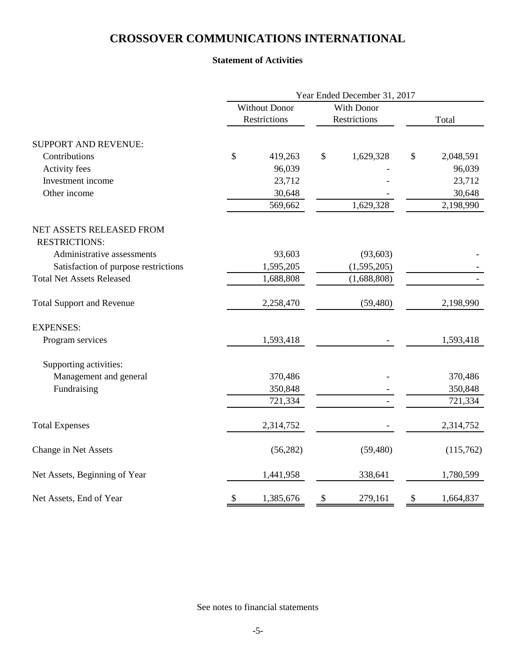# **Statement of Activities**

|                                                                                                                                                                                                                                                                                                                                              |                           | Year Ended December 31, 2017 |    |              |                           |           |  |  |  |  |
|----------------------------------------------------------------------------------------------------------------------------------------------------------------------------------------------------------------------------------------------------------------------------------------------------------------------------------------------|---------------------------|------------------------------|----|--------------|---------------------------|-----------|--|--|--|--|
|                                                                                                                                                                                                                                                                                                                                              |                           | <b>Without Donor</b>         |    | With Donor   |                           |           |  |  |  |  |
| <b>SUPPORT AND REVENUE:</b><br>Contributions<br>Activity fees<br>Investment income<br>Other income<br>NET ASSETS RELEASED FROM<br><b>RESTRICTIONS:</b><br>Administrative assessments<br>Satisfaction of purpose restrictions<br><b>Total Net Assets Released</b><br><b>Total Support and Revenue</b><br><b>EXPENSES:</b><br>Program services |                           | Restrictions                 |    | Restrictions | Total                     |           |  |  |  |  |
|                                                                                                                                                                                                                                                                                                                                              |                           |                              |    |              |                           |           |  |  |  |  |
|                                                                                                                                                                                                                                                                                                                                              | $\boldsymbol{\mathsf{S}}$ | 419,263                      | \$ | 1,629,328    | \$                        | 2,048,591 |  |  |  |  |
|                                                                                                                                                                                                                                                                                                                                              |                           | 96,039                       |    |              |                           | 96,039    |  |  |  |  |
|                                                                                                                                                                                                                                                                                                                                              |                           | 23,712                       |    |              |                           | 23,712    |  |  |  |  |
|                                                                                                                                                                                                                                                                                                                                              |                           | 30,648                       |    |              |                           | 30,648    |  |  |  |  |
|                                                                                                                                                                                                                                                                                                                                              |                           | 569,662                      |    | 1,629,328    |                           | 2,198,990 |  |  |  |  |
|                                                                                                                                                                                                                                                                                                                                              |                           |                              |    |              |                           |           |  |  |  |  |
|                                                                                                                                                                                                                                                                                                                                              |                           | 93,603                       |    | (93, 603)    |                           |           |  |  |  |  |
|                                                                                                                                                                                                                                                                                                                                              |                           | 1,595,205                    |    | (1,595,205)  |                           |           |  |  |  |  |
|                                                                                                                                                                                                                                                                                                                                              |                           | 1,688,808                    |    | (1,688,808)  |                           |           |  |  |  |  |
|                                                                                                                                                                                                                                                                                                                                              |                           | 2,258,470                    |    | (59, 480)    |                           | 2,198,990 |  |  |  |  |
|                                                                                                                                                                                                                                                                                                                                              |                           |                              |    |              |                           |           |  |  |  |  |
|                                                                                                                                                                                                                                                                                                                                              |                           | 1,593,418                    |    |              |                           | 1,593,418 |  |  |  |  |
| Supporting activities:                                                                                                                                                                                                                                                                                                                       |                           |                              |    |              |                           |           |  |  |  |  |
| Management and general                                                                                                                                                                                                                                                                                                                       |                           | 370,486                      |    |              |                           | 370,486   |  |  |  |  |
| Fundraising                                                                                                                                                                                                                                                                                                                                  |                           | 350,848                      |    |              |                           | 350,848   |  |  |  |  |
|                                                                                                                                                                                                                                                                                                                                              |                           | 721,334                      |    |              |                           | 721,334   |  |  |  |  |
| <b>Total Expenses</b>                                                                                                                                                                                                                                                                                                                        |                           | 2,314,752                    |    |              |                           | 2,314,752 |  |  |  |  |
| Change in Net Assets                                                                                                                                                                                                                                                                                                                         |                           | (56, 282)                    |    | (59, 480)    |                           | (115,762) |  |  |  |  |
| Net Assets, Beginning of Year                                                                                                                                                                                                                                                                                                                |                           | 1,441,958                    |    | 338,641      |                           | 1,780,599 |  |  |  |  |
| Net Assets, End of Year                                                                                                                                                                                                                                                                                                                      | \$                        | 1,385,676                    | \$ | 279,161      | $\boldsymbol{\mathsf{S}}$ | 1,664,837 |  |  |  |  |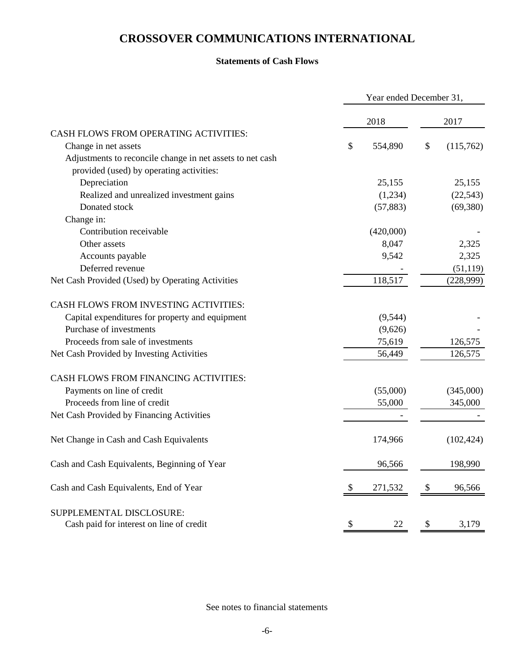#### **Statements of Cash Flows**

|                                                           | Year ended December 31, |                 |
|-----------------------------------------------------------|-------------------------|-----------------|
|                                                           | 2018                    | 2017            |
| CASH FLOWS FROM OPERATING ACTIVITIES:                     |                         |                 |
| Change in net assets                                      | \$<br>554,890           | \$<br>(115,762) |
| Adjustments to reconcile change in net assets to net cash |                         |                 |
| provided (used) by operating activities:                  |                         |                 |
| Depreciation                                              | 25,155                  | 25,155          |
| Realized and unrealized investment gains                  | (1,234)                 | (22, 543)       |
| Donated stock                                             | (57, 883)               | (69, 380)       |
| Change in:                                                |                         |                 |
| Contribution receivable                                   | (420,000)               |                 |
| Other assets                                              | 8,047                   | 2,325           |
| Accounts payable                                          | 9,542                   | 2,325           |
| Deferred revenue                                          |                         | (51, 119)       |
| Net Cash Provided (Used) by Operating Activities          | 118,517                 | (228,999)       |
| CASH FLOWS FROM INVESTING ACTIVITIES:                     |                         |                 |
| Capital expenditures for property and equipment           | (9, 544)                |                 |
| Purchase of investments                                   | (9,626)                 |                 |
| Proceeds from sale of investments                         | 75,619                  | 126,575         |
| Net Cash Provided by Investing Activities                 | 56,449                  | 126,575         |
| CASH FLOWS FROM FINANCING ACTIVITIES:                     |                         |                 |
| Payments on line of credit                                | (55,000)                | (345,000)       |
| Proceeds from line of credit                              | 55,000                  | 345,000         |
| Net Cash Provided by Financing Activities                 |                         |                 |
| Net Change in Cash and Cash Equivalents                   | 174,966                 | (102, 424)      |
| Cash and Cash Equivalents, Beginning of Year              | 96,566                  | 198,990         |
| Cash and Cash Equivalents, End of Year                    | \$<br>271,532           | \$<br>96,566    |
| SUPPLEMENTAL DISCLOSURE:                                  | \$<br>22                | \$<br>3,179     |
| Cash paid for interest on line of credit                  |                         |                 |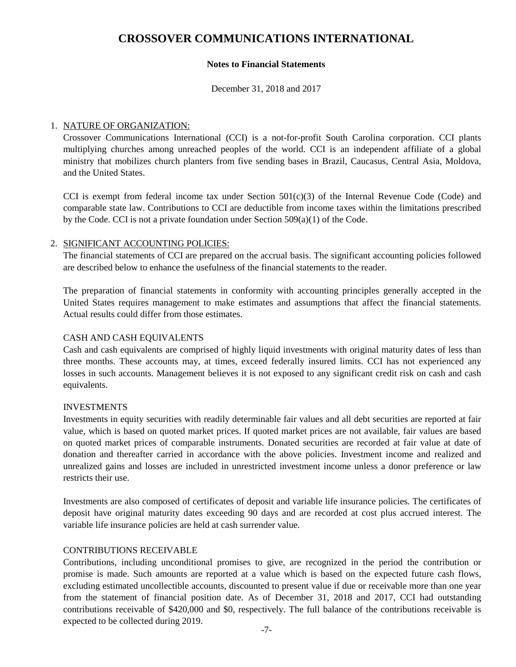### **Notes to Financial Statements**

December 31, 2018 and 2017

### 1. NATURE OF ORGANIZATION:

Crossover Communications International (CCI) is a not-for-profit South Carolina corporation. CCI plants multiplying churches among unreached peoples of the world. CCI is an independent affiliate of a global ministry that mobilizes church planters from five sending bases in Brazil, Caucasus, Central Asia, Moldova, and the United States.

CCI is exempt from federal income tax under Section  $501(c)(3)$  of the Internal Revenue Code (Code) and comparable state law. Contributions to CCI are deductible from income taxes within the limitations prescribed by the Code. CCI is not a private foundation under Section 509(a)(1) of the Code.

## 2. SIGNIFICANT ACCOUNTING POLICIES:

The financial statements of CCI are prepared on the accrual basis. The significant accounting policies followed are described below to enhance the usefulness of the financial statements to the reader.

The preparation of financial statements in conformity with accounting principles generally accepted in the United States requires management to make estimates and assumptions that affect the financial statements. Actual results could differ from those estimates.

### CASH AND CASH EQUIVALENTS

Cash and cash equivalents are comprised of highly liquid investments with original maturity dates of less than three months. These accounts may, at times, exceed federally insured limits. CCI has not experienced any losses in such accounts. Management believes it is not exposed to any significant credit risk on cash and cash equivalents.

#### INVESTMENTS

Investments in equity securities with readily determinable fair values and all debt securities are reported at fair value, which is based on quoted market prices. If quoted market prices are not available, fair values are based on quoted market prices of comparable instruments. Donated securities are recorded at fair value at date of donation and thereafter carried in accordance with the above policies. Investment income and realized and unrealized gains and losses are included in unrestricted investment income unless a donor preference or law restricts their use.

Investments are also composed of certificates of deposit and variable life insurance policies. The certificates of deposit have original maturity dates exceeding 90 days and are recorded at cost plus accrued interest. The variable life insurance policies are held at cash surrender value.

### CONTRIBUTIONS RECEIVABLE

Contributions, including unconditional promises to give, are recognized in the period the contribution or promise is made. Such amounts are reported at a value which is based on the expected future cash flows, excluding estimated uncollectible accounts, discounted to present value if due or receivable more than one year from the statement of financial position date. As of December 31, 2018 and 2017, CCI had outstanding contributions receivable of \$420,000 and \$0, respectively. The full balance of the contributions receivable is expected to be collected during 2019.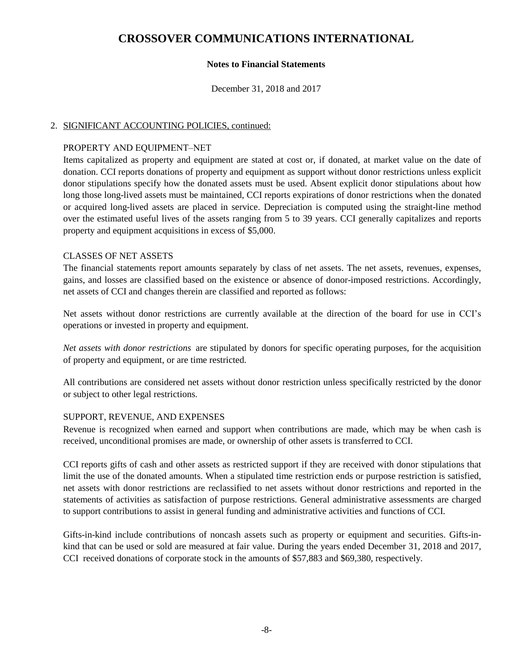## **Notes to Financial Statements**

December 31, 2018 and 2017

## 2. SIGNIFICANT ACCOUNTING POLICIES, continued:

## PROPERTY AND EQUIPMENT–NET

Items capitalized as property and equipment are stated at cost or, if donated, at market value on the date of donation. CCI reports donations of property and equipment as support without donor restrictions unless explicit donor stipulations specify how the donated assets must be used. Absent explicit donor stipulations about how long those long-lived assets must be maintained, CCI reports expirations of donor restrictions when the donated or acquired long-lived assets are placed in service. Depreciation is computed using the straight-line method over the estimated useful lives of the assets ranging from 5 to 39 years. CCI generally capitalizes and reports property and equipment acquisitions in excess of \$5,000.

#### CLASSES OF NET ASSETS

The financial statements report amounts separately by class of net assets. The net assets, revenues, expenses, gains, and losses are classified based on the existence or absence of donor-imposed restrictions. Accordingly, net assets of CCI and changes therein are classified and reported as follows:

Net assets without donor restrictions are currently available at the direction of the board for use in CCI's operations or invested in property and equipment.

*Net assets with donor restrictions* are stipulated by donors for specific operating purposes, for the acquisition of property and equipment, or are time restricted.

All contributions are considered net assets without donor restriction unless specifically restricted by the donor or subject to other legal restrictions.

#### SUPPORT, REVENUE, AND EXPENSES

Revenue is recognized when earned and support when contributions are made, which may be when cash is received, unconditional promises are made, or ownership of other assets is transferred to CCI.

CCI reports gifts of cash and other assets as restricted support if they are received with donor stipulations that limit the use of the donated amounts. When a stipulated time restriction ends or purpose restriction is satisfied, net assets with donor restrictions are reclassified to net assets without donor restrictions and reported in the statements of activities as satisfaction of purpose restrictions. General administrative assessments are charged to support contributions to assist in general funding and administrative activities and functions of CCI.

Gifts-in-kind include contributions of noncash assets such as property or equipment and securities. Gifts-inkind that can be used or sold are measured at fair value. During the years ended December 31, 2018 and 2017, CCI received donations of corporate stock in the amounts of \$57,883 and \$69,380, respectively.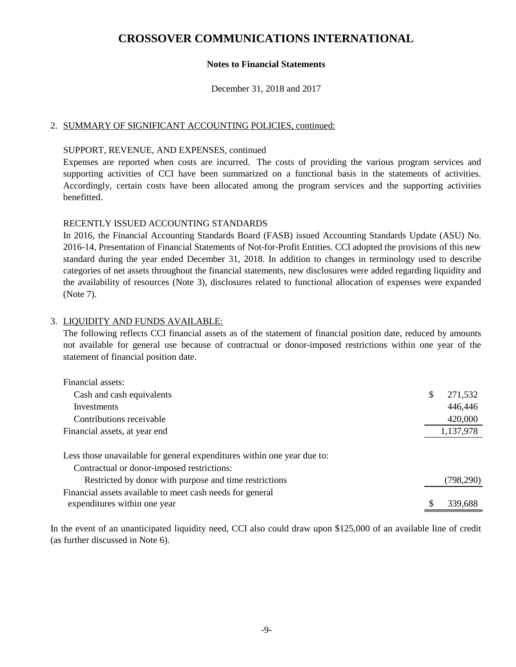## **Notes to Financial Statements**

December 31, 2018 and 2017

#### 2. SUMMARY OF SIGNIFICANT ACCOUNTING POLICIES, continued:

#### SUPPORT, REVENUE, AND EXPENSES, continued

Expenses are reported when costs are incurred. The costs of providing the various program services and supporting activities of CCI have been summarized on a functional basis in the statements of activities. Accordingly, certain costs have been allocated among the program services and the supporting activities benefitted.

## RECENTLY ISSUED ACCOUNTING STANDARDS

In 2016, the Financial Accounting Standards Board (FASB) issued Accounting Standards Update (ASU) No. 2016-14, Presentation of Financial Statements of Not-for-Profit Entities. CCI adopted the provisions of this new standard during the year ended December 31, 2018. In addition to changes in terminology used to describe categories of net assets throughout the financial statements, new disclosures were added regarding liquidity and the availability of resources (Note 3), disclosures related to functional allocation of expenses were expanded (Note 7).

## 3. LIQUIDITY AND FUNDS AVAILABLE:

The following reflects CCI financial assets as of the statement of financial position date, reduced by amounts not available for general use because of contractual or donor-imposed restrictions within one year of the statement of financial position date.

| Financial assets:                                                       |               |
|-------------------------------------------------------------------------|---------------|
| Cash and cash equivalents                                               | \$<br>271,532 |
| Investments                                                             | 446,446       |
| Contributions receivable                                                | 420,000       |
| Financial assets, at year end                                           | 1,137,978     |
|                                                                         |               |
| Less those unavailable for general expenditures within one year due to: |               |
| Contractual or donor-imposed restrictions:                              |               |
| Restricted by donor with purpose and time restrictions                  | (798, 290)    |
| Financial assets available to meet cash needs for general               |               |
| expenditures within one year                                            | S<br>339,688  |

In the event of an unanticipated liquidity need, CCI also could draw upon \$125,000 of an available line of credit (as further discussed in Note 6).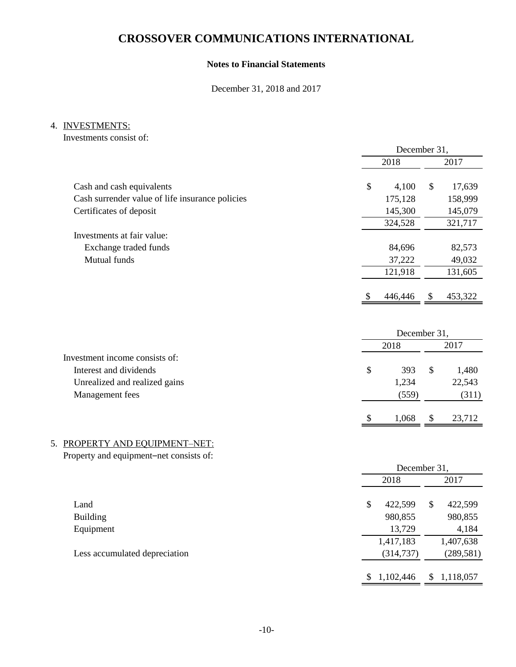# **Notes to Financial Statements**

December 31, 2018 and 2017

### 4. INVESTMENTS:

Investments consist of:

|                                                 | December 31,<br>2018<br>\$<br>4,100<br>175,128<br>145,300<br>324,528<br>84,696<br>37,222<br>121,918<br>446,446<br>-S<br>December 31,<br>2018<br>\$<br>393<br>1,234<br>(559)<br>1,068<br><sup>8</sup><br>December 31, |               |         |  |
|-------------------------------------------------|----------------------------------------------------------------------------------------------------------------------------------------------------------------------------------------------------------------------|---------------|---------|--|
|                                                 |                                                                                                                                                                                                                      |               | 2017    |  |
| Cash and cash equivalents                       |                                                                                                                                                                                                                      | $\mathcal{S}$ | 17,639  |  |
| Cash surrender value of life insurance policies |                                                                                                                                                                                                                      |               | 158,999 |  |
| Certificates of deposit                         |                                                                                                                                                                                                                      |               | 145,079 |  |
|                                                 |                                                                                                                                                                                                                      |               | 321,717 |  |
| Investments at fair value:                      |                                                                                                                                                                                                                      |               |         |  |
| Exchange traded funds                           |                                                                                                                                                                                                                      |               | 82,573  |  |
| Mutual funds                                    |                                                                                                                                                                                                                      |               | 49,032  |  |
|                                                 |                                                                                                                                                                                                                      |               | 131,605 |  |
|                                                 |                                                                                                                                                                                                                      | \$            | 453,322 |  |
|                                                 |                                                                                                                                                                                                                      |               |         |  |
|                                                 |                                                                                                                                                                                                                      |               | 2017    |  |
| Investment income consists of:                  |                                                                                                                                                                                                                      |               |         |  |
| Interest and dividends                          |                                                                                                                                                                                                                      | $\mathcal{S}$ | 1,480   |  |
| Unrealized and realized gains                   |                                                                                                                                                                                                                      |               | 22,543  |  |
| Management fees                                 |                                                                                                                                                                                                                      |               | (311)   |  |
|                                                 |                                                                                                                                                                                                                      | \$            | 23,712  |  |
|                                                 |                                                                                                                                                                                                                      |               |         |  |
| PROPERTY AND EQUIPMENT-NET:<br>5.               |                                                                                                                                                                                                                      |               |         |  |
| Property and equipment-net consists of:         |                                                                                                                                                                                                                      |               |         |  |
|                                                 | 2018                                                                                                                                                                                                                 |               | 2017    |  |

| Land                          | \$<br>422,599   | S | 422,599    |
|-------------------------------|-----------------|---|------------|
| <b>Building</b>               | 980,855         |   | 980,855    |
| Equipment                     | 13,729          |   | 4,184      |
|                               | 1,417,183       |   | 1,407,638  |
| Less accumulated depreciation | (314, 737)      |   | (289, 581) |
|                               |                 |   |            |
|                               | \$<br>1,102,446 | S | 1,118,057  |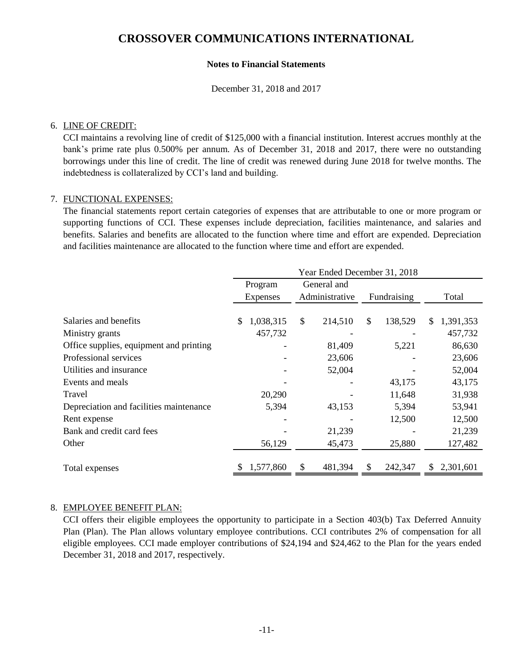### **Notes to Financial Statements**

December 31, 2018 and 2017

## 6. LINE OF CREDIT:

CCI maintains a revolving line of credit of \$125,000 with a financial institution. Interest accrues monthly at the bank's prime rate plus 0.500% per annum. As of December 31, 2018 and 2017, there were no outstanding borrowings under this line of credit. The line of credit was renewed during June 2018 for twelve months. The indebtedness is collateralized by CCI's land and building.

## 7. FUNCTIONAL EXPENSES:

The financial statements report certain categories of expenses that are attributable to one or more program or supporting functions of CCI. These expenses include depreciation, facilities maintenance, and salaries and benefits. Salaries and benefits are allocated to the function where time and effort are expended. Depreciation and facilities maintenance are allocated to the function where time and effort are expended.

|                                         |                 | Year Ended December 31, 2018 |               |                  |
|-----------------------------------------|-----------------|------------------------------|---------------|------------------|
|                                         | Program         | General and                  |               |                  |
|                                         | <b>Expenses</b> | Administrative               | Fundraising   | Total            |
|                                         |                 |                              |               |                  |
| Salaries and benefits                   | 1,038,315<br>\$ | \$<br>214,510                | \$<br>138,529 | \$.<br>1,391,353 |
| Ministry grants                         | 457,732         |                              |               | 457,732          |
| Office supplies, equipment and printing |                 | 81,409                       | 5,221         | 86,630           |
| Professional services                   |                 | 23,606                       |               | 23,606           |
| Utilities and insurance                 |                 | 52,004                       |               | 52,004           |
| Events and meals                        |                 |                              | 43,175        | 43,175           |
| Travel                                  | 20,290          |                              | 11,648        | 31,938           |
| Depreciation and facilities maintenance | 5,394           | 43,153                       | 5,394         | 53,941           |
| Rent expense                            |                 |                              | 12,500        | 12,500           |
| Bank and credit card fees               |                 | 21,239                       |               | 21,239           |
| Other                                   | 56,129          | 45,473                       | 25,880        | 127,482          |
|                                         |                 |                              |               |                  |
| Total expenses                          | 1,577,860       | \$<br>481,394                | \$<br>242,347 | 2,301,601<br>S   |

#### 8. EMPLOYEE BENEFIT PLAN:

CCI offers their eligible employees the opportunity to participate in a Section 403(b) Tax Deferred Annuity Plan (Plan). The Plan allows voluntary employee contributions. CCI contributes 2% of compensation for all eligible employees. CCI made employer contributions of \$24,194 and \$24,462 to the Plan for the years ended December 31, 2018 and 2017, respectively.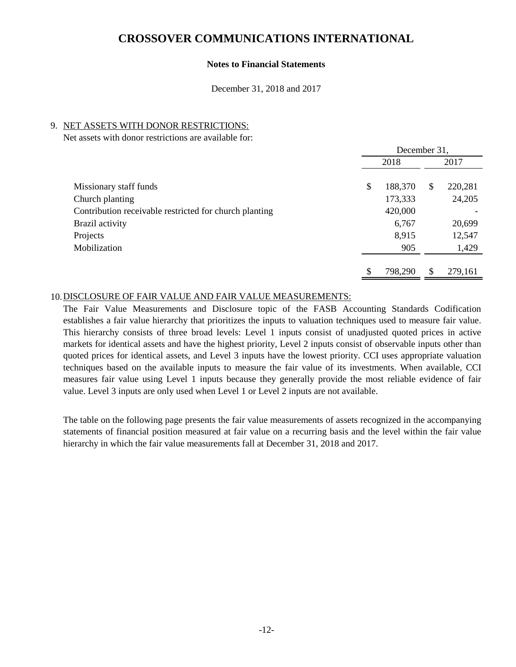### **Notes to Financial Statements**

December 31, 2018 and 2017

#### 9. NET ASSETS WITH DONOR RESTRICTIONS:

Net assets with donor restrictions are available for:

|                                                        | December 31,  |    |         |
|--------------------------------------------------------|---------------|----|---------|
|                                                        | 2018          |    | 2017    |
| Missionary staff funds                                 | \$<br>188,370 | \$ | 220,281 |
| Church planting                                        | 173,333       |    | 24,205  |
| Contribution receivable restricted for church planting | 420,000       |    |         |
| Brazil activity                                        | 6,767         |    | 20,699  |
| Projects                                               | 8,915         |    | 12,547  |
| Mobilization                                           | 905           |    | 1,429   |
|                                                        |               |    |         |
|                                                        | \$<br>798,290 | S  | 279,161 |

# 10.DISCLOSURE OF FAIR VALUE AND FAIR VALUE MEASUREMENTS:

The Fair Value Measurements and Disclosure topic of the FASB Accounting Standards Codification establishes a fair value hierarchy that prioritizes the inputs to valuation techniques used to measure fair value. This hierarchy consists of three broad levels: Level 1 inputs consist of unadjusted quoted prices in active markets for identical assets and have the highest priority, Level 2 inputs consist of observable inputs other than quoted prices for identical assets, and Level 3 inputs have the lowest priority. CCI uses appropriate valuation techniques based on the available inputs to measure the fair value of its investments. When available, CCI measures fair value using Level 1 inputs because they generally provide the most reliable evidence of fair value. Level 3 inputs are only used when Level 1 or Level 2 inputs are not available.

The table on the following page presents the fair value measurements of assets recognized in the accompanying statements of financial position measured at fair value on a recurring basis and the level within the fair value hierarchy in which the fair value measurements fall at December 31, 2018 and 2017.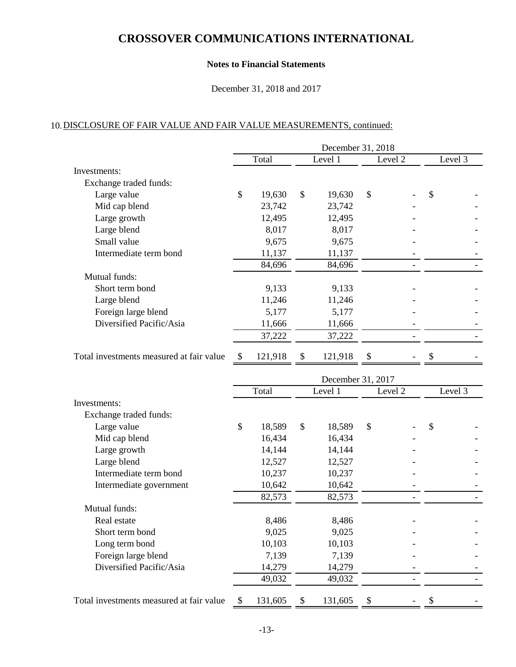## **Notes to Financial Statements**

December 31, 2018 and 2017

## 10.DISCLOSURE OF FAIR VALUE AND FAIR VALUE MEASUREMENTS, continued:

|                                          | December 31, 2018 |         |    |         |                           |                          |         |  |
|------------------------------------------|-------------------|---------|----|---------|---------------------------|--------------------------|---------|--|
|                                          |                   | Total   |    | Level 1 |                           | Level 2                  | Level 3 |  |
| Investments:                             |                   |         |    |         |                           |                          |         |  |
| Exchange traded funds:                   |                   |         |    |         |                           |                          |         |  |
| Large value                              | \$                | 19,630  | \$ | 19,630  | \$                        |                          | \$      |  |
| Mid cap blend                            |                   | 23,742  |    | 23,742  |                           |                          |         |  |
| Large growth                             |                   | 12,495  |    | 12,495  |                           |                          |         |  |
| Large blend                              |                   | 8,017   |    | 8,017   |                           |                          |         |  |
| Small value                              |                   | 9,675   |    | 9,675   |                           |                          |         |  |
| Intermediate term bond                   |                   | 11,137  |    | 11,137  |                           |                          |         |  |
|                                          |                   | 84,696  |    | 84,696  |                           |                          |         |  |
| Mutual funds:                            |                   |         |    |         |                           |                          |         |  |
| Short term bond                          |                   | 9,133   |    | 9,133   |                           |                          |         |  |
| Large blend                              |                   | 11,246  |    | 11,246  |                           |                          |         |  |
| Foreign large blend                      |                   | 5,177   |    | 5,177   |                           |                          |         |  |
| Diversified Pacific/Asia                 |                   | 11,666  |    | 11,666  |                           |                          |         |  |
|                                          |                   | 37,222  |    | 37,222  |                           |                          |         |  |
| Total investments measured at fair value | \$                | 121,918 | \$ | 121,918 | \$                        |                          | \$      |  |
|                                          | December 31, 2017 |         |    |         |                           |                          |         |  |
|                                          |                   | Total   |    | Level 1 |                           | Level 2                  | Level 3 |  |
| Investments:                             |                   |         |    |         |                           |                          |         |  |
| Exchange traded funds:                   |                   |         |    |         |                           |                          |         |  |
| Large value                              | \$                | 18,589  | \$ | 18,589  | \$                        |                          | \$      |  |
| Mid cap blend                            |                   | 16,434  |    | 16,434  |                           |                          |         |  |
| Large growth                             |                   | 14,144  |    | 14,144  |                           |                          |         |  |
| Large blend                              |                   | 12,527  |    | 12,527  |                           |                          |         |  |
| Intermediate term bond                   |                   | 10,237  |    | 10,237  |                           |                          |         |  |
| Intermediate government                  |                   | 10,642  |    | 10,642  |                           |                          |         |  |
|                                          |                   | 82,573  |    | 82,573  |                           |                          |         |  |
| Mutual funds:                            |                   |         |    |         |                           |                          |         |  |
| Real estate                              |                   | 8,486   |    | 8,486   |                           |                          |         |  |
| Short term bond                          |                   | 9,025   |    | 9,025   |                           |                          |         |  |
| Long term bond                           |                   | 10,103  |    | 10,103  |                           |                          |         |  |
| Foreign large blend                      |                   | 7,139   |    | 7,139   |                           |                          |         |  |
| Diversified Pacific/Asia                 |                   | 14,279  |    | 14,279  |                           |                          |         |  |
|                                          |                   | 49,032  |    | 49,032  |                           | $\overline{\phantom{a}}$ |         |  |
| Total investments measured at fair value | \$                | 131,605 | \$ | 131,605 | $\boldsymbol{\mathsf{S}}$ |                          | \$      |  |